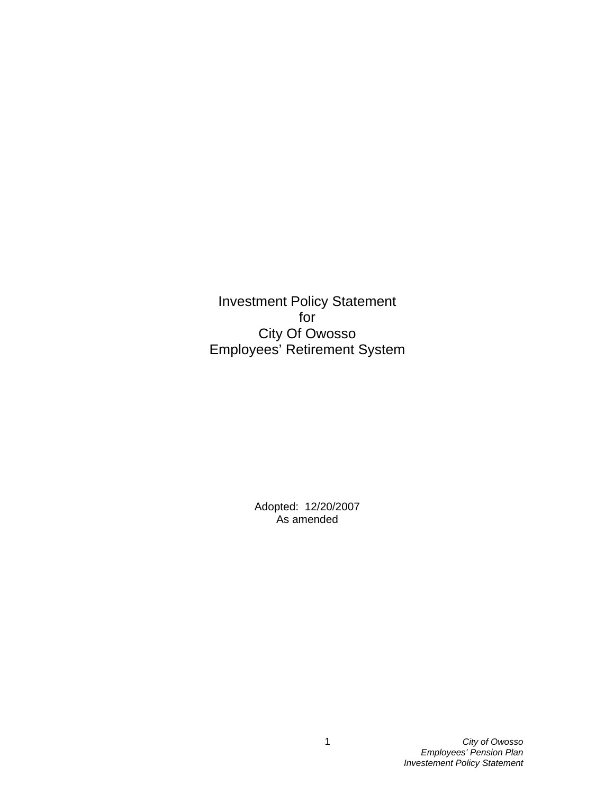Investment Policy Statement for City Of Owosso Employees' Retirement System

> Adopted: 12/20/2007 As amended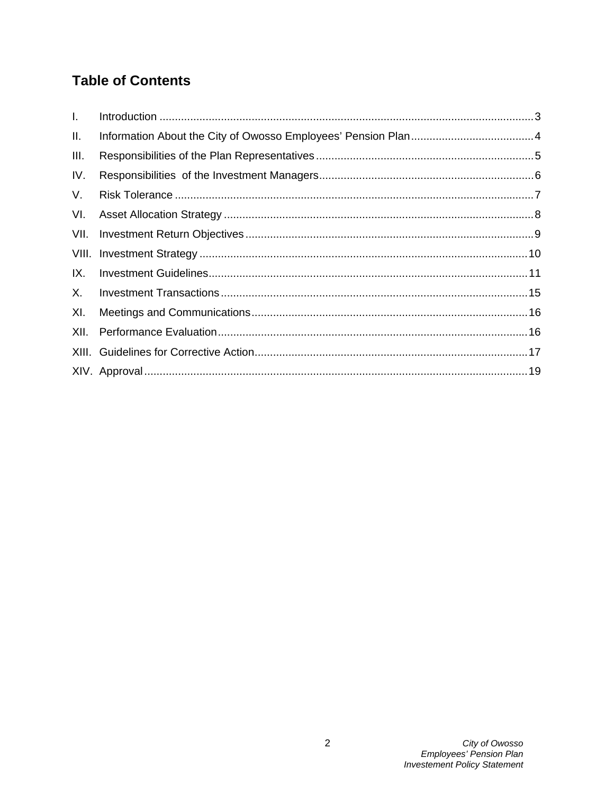# **Table of Contents**

| L.    |  |
|-------|--|
| II.   |  |
| III.  |  |
| IV.   |  |
| V.    |  |
| VI.   |  |
| VII.  |  |
| VIII. |  |
| IX.   |  |
| Χ.    |  |
| XI.   |  |
| XII.  |  |
|       |  |
|       |  |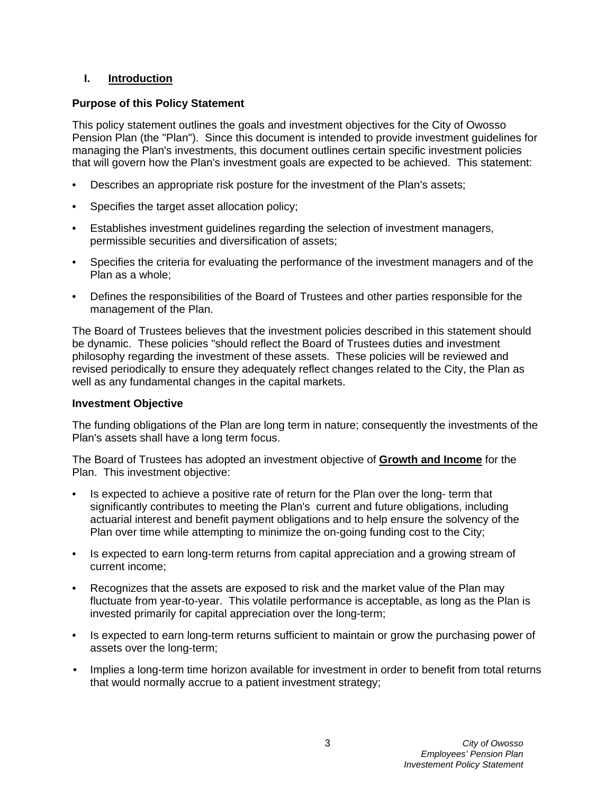## **I. Introduction**

## **Purpose of this Policy Statement**

This policy statement outlines the goals and investment objectives for the City of Owosso Pension Plan (the "Plan"). Since this document is intended to provide investment guidelines for managing the Plan's investments, this document outlines certain specific investment policies that will govern how the Plan's investment goals are expected to be achieved. This statement:

- Describes an appropriate risk posture for the investment of the Plan's assets;
- Specifies the target asset allocation policy;
- Establishes investment guidelines regarding the selection of investment managers, permissible securities and diversification of assets;
- Specifies the criteria for evaluating the performance of the investment managers and of the Plan as a whole;
- Defines the responsibilities of the Board of Trustees and other parties responsible for the management of the Plan.

The Board of Trustees believes that the investment policies described in this statement should be dynamic. These policies "should reflect the Board of Trustees duties and investment philosophy regarding the investment of these assets. These policies will be reviewed and revised periodically to ensure they adequately reflect changes related to the City, the Plan as well as any fundamental changes in the capital markets.

#### **Investment Objective**

The funding obligations of the Plan are long term in nature; consequently the investments of the Plan's assets shall have a long term focus.

The Board of Trustees has adopted an investment objective of **Growth and Income** for the Plan. This investment objective:

- Is expected to achieve a positive rate of return for the Plan over the long- term that significantly contributes to meeting the Plan's current and future obligations, including actuarial interest and benefit payment obligations and to help ensure the solvency of the Plan over time while attempting to minimize the on-going funding cost to the City;
- Is expected to earn long-term returns from capital appreciation and a growing stream of current income;
- Recognizes that the assets are exposed to risk and the market value of the Plan may fluctuate from year-to-year. This volatile performance is acceptable, as long as the Plan is invested primarily for capital appreciation over the long-term;
- Is expected to earn long-term returns sufficient to maintain or grow the purchasing power of assets over the long-term;
- Implies a long-term time horizon available for investment in order to benefit from total returns that would normally accrue to a patient investment strategy;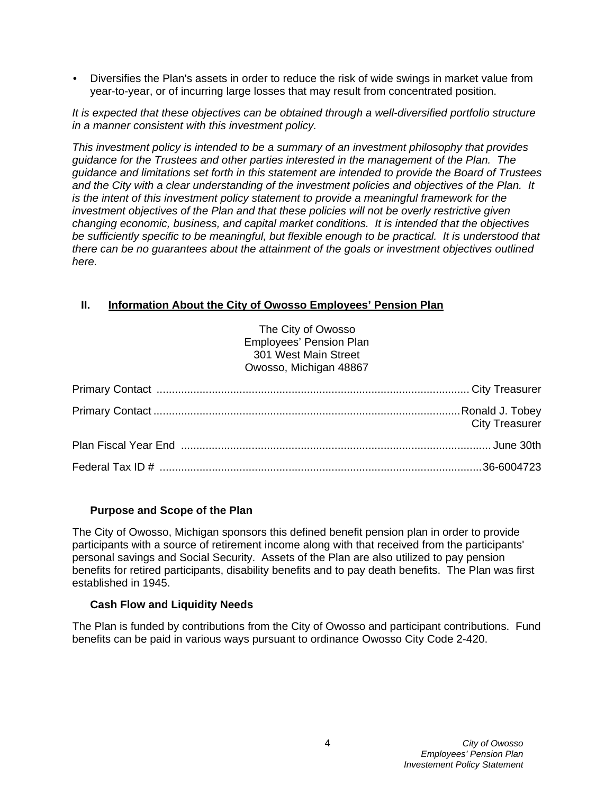• Diversifies the Plan's assets in order to reduce the risk of wide swings in market value from year-to-year, or of incurring large losses that may result from concentrated position.

*It is expected that these objectives can be obtained through a well-diversified portfolio structure in a manner consistent with this investment policy.* 

*This investment policy is intended to be a summary of an investment philosophy that provides guidance for the Trustees and other parties interested in the management of the Plan. The guidance and limitations set forth in this statement are intended to provide the Board of Trustees and the City with a clear understanding of the investment policies and objectives of the Plan. It is the intent of this investment policy statement to provide a meaningful framework for the investment objectives of the Plan and that these policies will not be overly restrictive given changing economic, business, and capital market conditions. It is intended that the objectives be sufficiently specific to be meaningful, but flexible enough to be practical. It is understood that there can be no guarantees about the attainment of the goals or investment objectives outlined here.* 

## **II. Information About the City of Owosso Employees' Pension Plan**

| The City of Owosso<br><b>Employees' Pension Plan</b> |
|------------------------------------------------------|
| 301 West Main Street                                 |
| Owosso, Michigan 48867                               |
|                                                      |
|                                                      |
| <b>City Treasurer</b>                                |
|                                                      |
|                                                      |
|                                                      |

#### **Purpose and Scope of the Plan**

The City of Owosso, Michigan sponsors this defined benefit pension plan in order to provide participants with a source of retirement income along with that received from the participants' personal savings and Social Security. Assets of the Plan are also utilized to pay pension benefits for retired participants, disability benefits and to pay death benefits. The Plan was first established in 1945.

#### **Cash Flow and Liquidity Needs**

The Plan is funded by contributions from the City of Owosso and participant contributions. Fund benefits can be paid in various ways pursuant to ordinance Owosso City Code 2-420.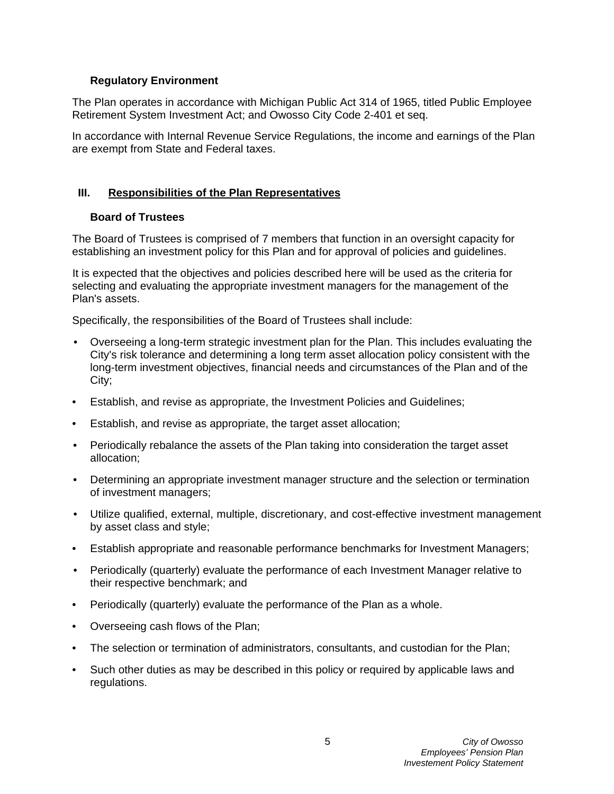## **Regulatory Environment**

The Plan operates in accordance with Michigan Public Act 314 of 1965, titled Public Employee Retirement System Investment Act; and Owosso City Code 2-401 et seq.

In accordance with Internal Revenue Service Regulations, the income and earnings of the Plan are exempt from State and Federal taxes.

## **III. Responsibilities of the Plan Representatives**

## **Board of Trustees**

The Board of Trustees is comprised of 7 members that function in an oversight capacity for establishing an investment policy for this Plan and for approval of policies and guidelines.

It is expected that the objectives and policies described here will be used as the criteria for selecting and evaluating the appropriate investment managers for the management of the Plan's assets.

Specifically, the responsibilities of the Board of Trustees shall include:

- Overseeing a long-term strategic investment plan for the Plan. This includes evaluating the City's risk tolerance and determining a long term asset allocation policy consistent with the long-term investment objectives, financial needs and circumstances of the Plan and of the City;
- Establish, and revise as appropriate, the Investment Policies and Guidelines;
- Establish, and revise as appropriate, the target asset allocation;
- Periodically rebalance the assets of the Plan taking into consideration the target asset allocation;
- Determining an appropriate investment manager structure and the selection or termination of investment managers;
- Utilize qualified, external, multiple, discretionary, and cost-effective investment management by asset class and style;
- Establish appropriate and reasonable performance benchmarks for Investment Managers;
- Periodically (quarterly) evaluate the performance of each Investment Manager relative to their respective benchmark; and
- Periodically (quarterly) evaluate the performance of the Plan as a whole.
- Overseeing cash flows of the Plan;
- The selection or termination of administrators, consultants, and custodian for the Plan;
- Such other duties as may be described in this policy or required by applicable laws and regulations.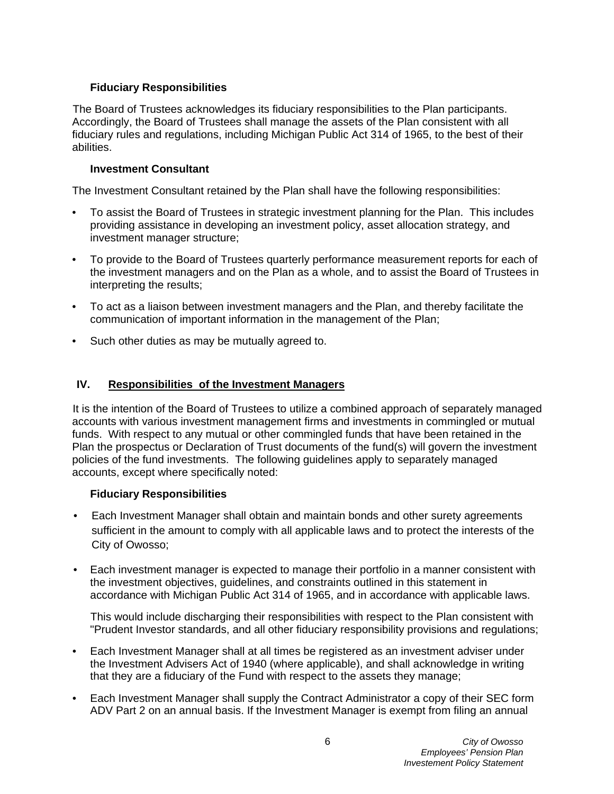## **Fiduciary Responsibilities**

The Board of Trustees acknowledges its fiduciary responsibilities to the Plan participants. Accordingly, the Board of Trustees shall manage the assets of the Plan consistent with all fiduciary rules and regulations, including Michigan Public Act 314 of 1965, to the best of their abilities.

#### **Investment Consultant**

The Investment Consultant retained by the Plan shall have the following responsibilities:

- To assist the Board of Trustees in strategic investment planning for the Plan. This includes providing assistance in developing an investment policy, asset allocation strategy, and investment manager structure;
- To provide to the Board of Trustees quarterly performance measurement reports for each of the investment managers and on the Plan as a whole, and to assist the Board of Trustees in interpreting the results;
- To act as a liaison between investment managers and the Plan, and thereby facilitate the communication of important information in the management of the Plan;
- Such other duties as may be mutually agreed to.

## **IV. Responsibilities of the Investment Managers**

It is the intention of the Board of Trustees to utilize a combined approach of separately managed accounts with various investment management firms and investments in commingled or mutual funds. With respect to any mutual or other commingled funds that have been retained in the Plan the prospectus or Declaration of Trust documents of the fund(s) will govern the investment policies of the fund investments. The following guidelines apply to separately managed accounts, except where specifically noted:

#### **Fiduciary Responsibilities**

- Each Investment Manager shall obtain and maintain bonds and other surety agreements sufficient in the amount to comply with all applicable laws and to protect the interests of the City of Owosso;
- Each investment manager is expected to manage their portfolio in a manner consistent with the investment objectives, guidelines, and constraints outlined in this statement in accordance with Michigan Public Act 314 of 1965, and in accordance with applicable laws.

This would include discharging their responsibilities with respect to the Plan consistent with "Prudent Investor standards, and all other fiduciary responsibility provisions and regulations;

- Each Investment Manager shall at all times be registered as an investment adviser under the Investment Advisers Act of 1940 (where applicable), and shall acknowledge in writing that they are a fiduciary of the Fund with respect to the assets they manage;
- Each Investment Manager shall supply the Contract Administrator a copy of their SEC form ADV Part 2 on an annual basis. If the Investment Manager is exempt from filing an annual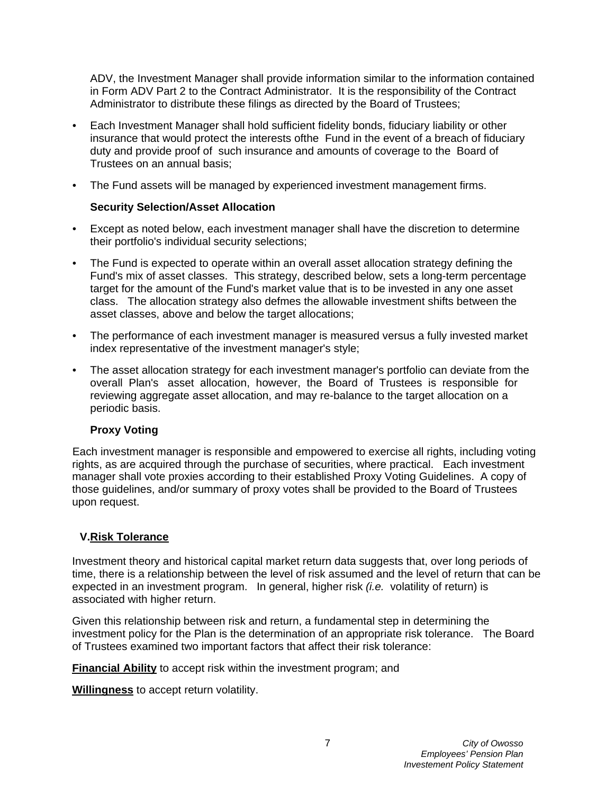ADV, the Investment Manager shall provide information similar to the information contained in Form ADV Part 2 to the Contract Administrator. It is the responsibility of the Contract Administrator to distribute these filings as directed by the Board of Trustees;

- Each Investment Manager shall hold sufficient fidelity bonds, fiduciary liability or other insurance that would protect the interests ofthe Fund in the event of a breach of fiduciary duty and provide proof of such insurance and amounts of coverage to the Board of Trustees on an annual basis;
- The Fund assets will be managed by experienced investment management firms.

## **Security Selection/Asset Allocation**

- Except as noted below, each investment manager shall have the discretion to determine their portfolio's individual security selections;
- The Fund is expected to operate within an overall asset allocation strategy defining the Fund's mix of asset classes. This strategy, described below, sets a long-term percentage target for the amount of the Fund's market value that is to be invested in any one asset class. The allocation strategy also defmes the allowable investment shifts between the asset classes, above and below the target allocations;
- The performance of each investment manager is measured versus a fully invested market index representative of the investment manager's style;
- The asset allocation strategy for each investment manager's portfolio can deviate from the overall Plan's asset allocation, however, the Board of Trustees is responsible for reviewing aggregate asset allocation, and may re-balance to the target allocation on a periodic basis.

## **Proxy Voting**

Each investment manager is responsible and empowered to exercise all rights, including voting rights, as are acquired through the purchase of securities, where practical. Each investment manager shall vote proxies according to their established Proxy Voting Guidelines. A copy of those guidelines, and/or summary of proxy votes shall be provided to the Board of Trustees upon request.

## **V.Risk Tolerance**

Investment theory and historical capital market return data suggests that, over long periods of time, there is a relationship between the level of risk assumed and the level of return that can be expected in an investment program. In general, higher risk *(i.e.* volatility of return) is associated with higher return.

Given this relationship between risk and return, a fundamental step in determining the investment policy for the Plan is the determination of an appropriate risk tolerance. The Board of Trustees examined two important factors that affect their risk tolerance:

**Financial Ability** to accept risk within the investment program; and

**Willingness** to accept return volatility.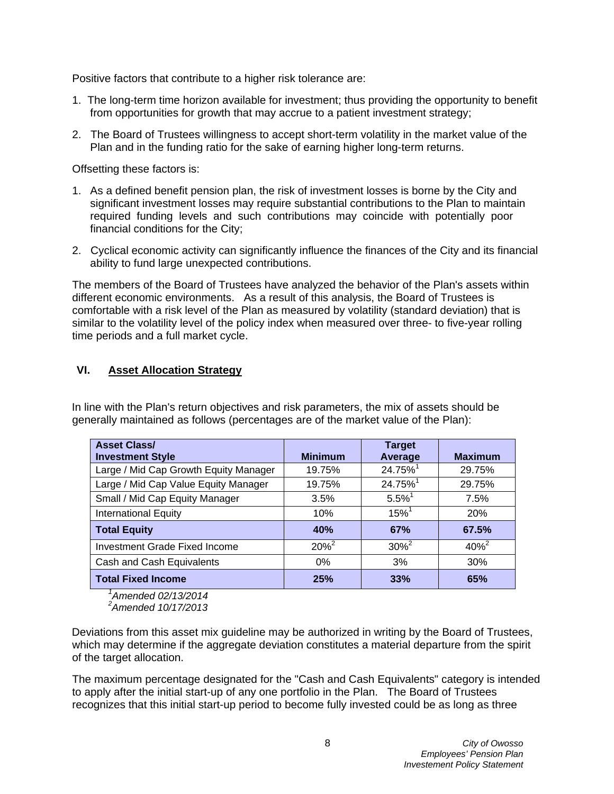Positive factors that contribute to a higher risk tolerance are:

- 1. The long-term time horizon available for investment; thus providing the opportunity to benefit from opportunities for growth that may accrue to a patient investment strategy;
- 2. The Board of Trustees willingness to accept short-term volatility in the market value of the Plan and in the funding ratio for the sake of earning higher long-term returns.

Offsetting these factors is:

- 1. As a defined benefit pension plan, the risk of investment losses is borne by the City and significant investment losses may require substantial contributions to the Plan to maintain required funding levels and such contributions may coincide with potentially poor financial conditions for the City;
- 2. Cyclical economic activity can significantly influence the finances of the City and its financial ability to fund large unexpected contributions.

The members of the Board of Trustees have analyzed the behavior of the Plan's assets within different economic environments. As a result of this analysis, the Board of Trustees is comfortable with a risk level of the Plan as measured by volatility (standard deviation) that is similar to the volatility level of the policy index when measured over three- to five-year rolling time periods and a full market cycle.

## **VI. Asset Allocation Strategy**

In line with the Plan's return objectives and risk parameters, the mix of assets should be generally maintained as follows (percentages are of the market value of the Plan):

| <b>Asset Class/</b><br><b>Investment Style</b>        | <b>Minimum</b> | <b>Target</b><br>Average | <b>Maximum</b> |
|-------------------------------------------------------|----------------|--------------------------|----------------|
| Large / Mid Cap Growth Equity Manager                 | 19.75%         | 24.75% <sup>1</sup>      | 29.75%         |
|                                                       |                |                          |                |
| Large / Mid Cap Value Equity Manager                  | 19.75%         | 24.75% <sup>1</sup>      | 29.75%         |
| Small / Mid Cap Equity Manager                        | 3.5%           | $5.5\%$ <sup>1</sup>     | 7.5%           |
| <b>International Equity</b>                           | 10%            | $15\%$ <sup>1</sup>      | 20%            |
| <b>Total Equity</b>                                   | 40%            | 67%                      | 67.5%          |
| <b>Investment Grade Fixed Income</b>                  | $20\%^{2}$     | $30\%^{2}$               | $40\%^{2}$     |
| Cash and Cash Equivalents                             | 0%             | 3%                       | 30%            |
| <b>Total Fixed Income</b><br>$\overline{\phantom{a}}$ | 25%            | 33%                      | 65%            |

*1 Amended 02/13/2014* 

*2 Amended 10/17/2013*

Deviations from this asset mix guideline may be authorized in writing by the Board of Trustees, which may determine if the aggregate deviation constitutes a material departure from the spirit of the target allocation.

The maximum percentage designated for the "Cash and Cash Equivalents" category is intended to apply after the initial start-up of any one portfolio in the Plan. The Board of Trustees recognizes that this initial start-up period to become fully invested could be as long as three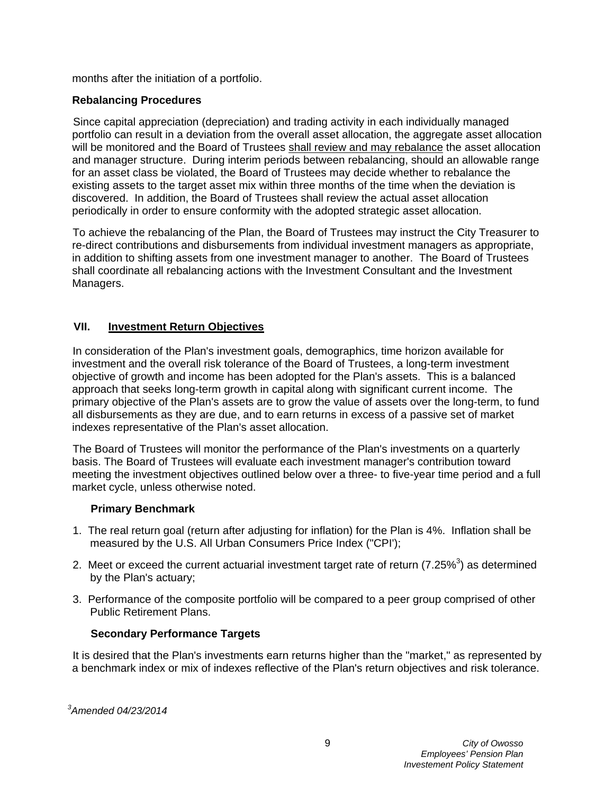months after the initiation of a portfolio.

## **Rebalancing Procedures**

Since capital appreciation (depreciation) and trading activity in each individually managed portfolio can result in a deviation from the overall asset allocation, the aggregate asset allocation will be monitored and the Board of Trustees shall review and may rebalance the asset allocation and manager structure. During interim periods between rebalancing, should an allowable range for an asset class be violated, the Board of Trustees may decide whether to rebalance the existing assets to the target asset mix within three months of the time when the deviation is discovered. In addition, the Board of Trustees shall review the actual asset allocation periodically in order to ensure conformity with the adopted strategic asset allocation.

To achieve the rebalancing of the Plan, the Board of Trustees may instruct the City Treasurer to re-direct contributions and disbursements from individual investment managers as appropriate, in addition to shifting assets from one investment manager to another. The Board of Trustees shall coordinate all rebalancing actions with the Investment Consultant and the Investment Managers.

## **VII. Investment Return Objectives**

In consideration of the Plan's investment goals, demographics, time horizon available for investment and the overall risk tolerance of the Board of Trustees, a long-term investment objective of growth and income has been adopted for the Plan's assets. This is a balanced approach that seeks long-term growth in capital along with significant current income. The primary objective of the Plan's assets are to grow the value of assets over the long-term, to fund all disbursements as they are due, and to earn returns in excess of a passive set of market indexes representative of the Plan's asset allocation.

The Board of Trustees will monitor the performance of the Plan's investments on a quarterly basis. The Board of Trustees will evaluate each investment manager's contribution toward meeting the investment objectives outlined below over a three- to five-year time period and a full market cycle, unless otherwise noted.

#### **Primary Benchmark**

- 1. The real return goal (return after adjusting for inflation) for the Plan is 4%. Inflation shall be measured by the U.S. All Urban Consumers Price Index ("CPI');
- 2. Meet or exceed the current actuarial investment target rate of return (7.25%<sup>3</sup>) as determined by the Plan's actuary;
- 3. Performance of the composite portfolio will be compared to a peer group comprised of other Public Retirement Plans.

## **Secondary Performance Targets**

It is desired that the Plan's investments earn returns higher than the "market," as represented by a benchmark index or mix of indexes reflective of the Plan's return objectives and risk tolerance.

*3 Amended 04/23/2014*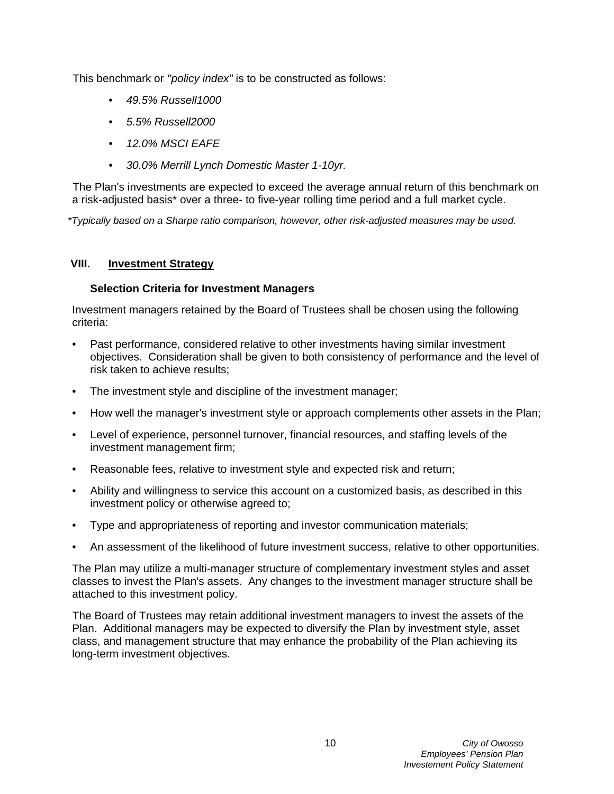This benchmark or *''policy index"* is to be constructed as follows:

- *49.5% Russell1000*
- *5.5% Russell2000*
- *12.0% MSCI EAFE*
- *30.0% Merrill Lynch Domestic Master 1-10yr.*

The Plan's investments are expected to exceed the average annual return of this benchmark on a risk-adjusted basis\* over a three- to five-year rolling time period and a full market cycle.

*\*Typically based on a Sharpe ratio comparison, however, other risk-adjusted measures may be used.*

#### **VIII. Investment Strategy**

## **Selection Criteria for Investment Managers**

Investment managers retained by the Board of Trustees shall be chosen using the following criteria:

- Past performance, considered relative to other investments having similar investment objectives. Consideration shall be given to both consistency of performance and the level of risk taken to achieve results;
- The investment style and discipline of the investment manager;
- How well the manager's investment style or approach complements other assets in the Plan;
- Level of experience, personnel turnover, financial resources, and staffing levels of the investment management firm;
- Reasonable fees, relative to investment style and expected risk and return;
- Ability and willingness to service this account on a customized basis, as described in this investment policy or otherwise agreed to;
- Type and appropriateness of reporting and investor communication materials;
- An assessment of the likelihood of future investment success, relative to other opportunities.

The Plan may utilize a multi-manager structure of complementary investment styles and asset classes to invest the Plan's assets. Any changes to the investment manager structure shall be attached to this investment policy.

The Board of Trustees may retain additional investment managers to invest the assets of the Plan. Additional managers may be expected to diversify the Plan by investment style, asset class, and management structure that may enhance the probability of the Plan achieving its long-term investment objectives.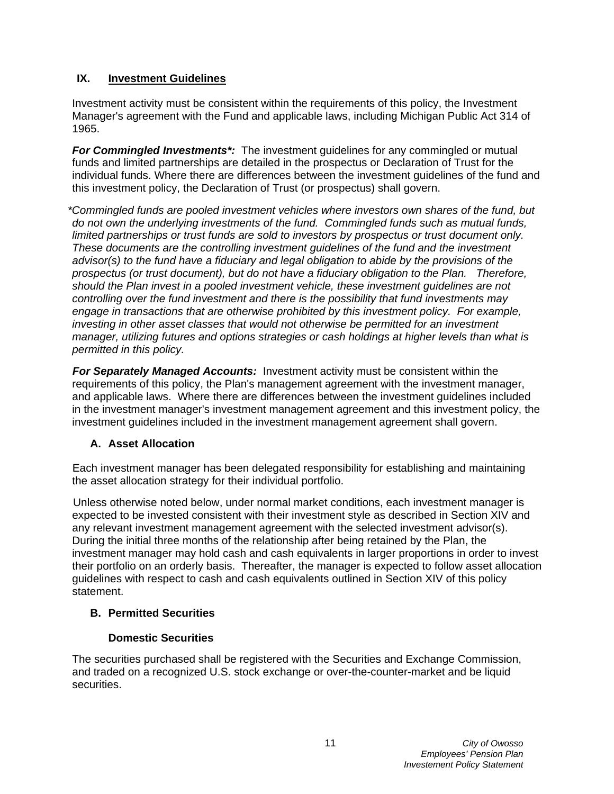## **IX. Investment Guidelines**

Investment activity must be consistent within the requirements of this policy, the Investment Manager's agreement with the Fund and applicable laws, including Michigan Public Act 314 of 1965.

*For Commingled Investments<sup>\*</sup>:* The investment guidelines for any commingled or mutual funds and limited partnerships are detailed in the prospectus or Declaration of Trust for the individual funds. Where there are differences between the investment guidelines of the fund and this investment policy, the Declaration of Trust (or prospectus) shall govern.

*\*Commingled funds are pooled investment vehicles where investors own shares of the fund, but do not own the underlying investments of the fund. Commingled funds such as mutual funds, limited partnerships or trust funds are sold to investors by prospectus or trust document only. These documents are the controlling investment guidelines of the fund and the investment advisor(s) to the fund have a fiduciary and legal obligation to abide by the provisions of the prospectus (or trust document), but do not have a fiduciary obligation to the Plan. Therefore, should the Plan invest in a pooled investment vehicle, these investment guidelines are not controlling over the fund investment and there is the possibility that fund investments may engage in transactions that are otherwise prohibited by this investment policy. For example, investing in other asset classes that would not otherwise be permitted for an investment manager, utilizing futures and options strategies or cash holdings at higher levels than what is permitted in this policy.*

**For Separately Managed Accounts:** Investment activity must be consistent within the requirements of this policy, the Plan's management agreement with the investment manager, and applicable laws. Where there are differences between the investment guidelines included in the investment manager's investment management agreement and this investment policy, the investment guidelines included in the investment management agreement shall govern.

## **A. Asset Allocation**

Each investment manager has been delegated responsibility for establishing and maintaining the asset allocation strategy for their individual portfolio.

Unless otherwise noted below, under normal market conditions, each investment manager is expected to be invested consistent with their investment style as described in Section XIV and any relevant investment management agreement with the selected investment advisor(s). During the initial three months of the relationship after being retained by the Plan, the investment manager may hold cash and cash equivalents in larger proportions in order to invest their portfolio on an orderly basis. Thereafter, the manager is expected to follow asset allocation guidelines with respect to cash and cash equivalents outlined in Section XIV of this policy statement.

#### **B. Permitted Securities**

## **Domestic Securities**

The securities purchased shall be registered with the Securities and Exchange Commission, and traded on a recognized U.S. stock exchange or over-the-counter-market and be liquid securities.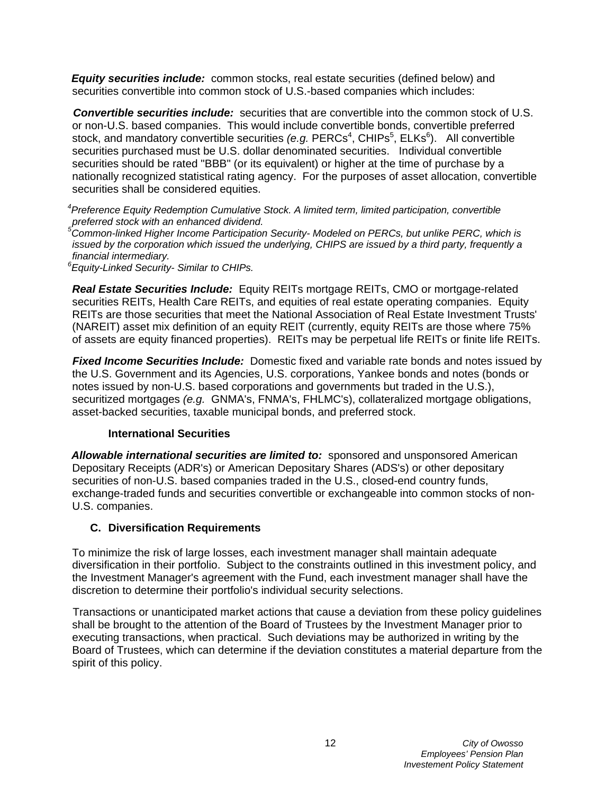*Equity securities include:* common stocks, real estate securities (defined below) and securities convertible into common stock of U.S.-based companies which includes:

**Convertible securities include:** securities that are convertible into the common stock of U.S. or non-U.S. based companies. This would include convertible bonds, convertible preferred stock, and mandatory convertible securities (e.g. PERCs<sup>4</sup>, CHIPs<sup>5</sup>, ELKs<sup>6</sup>). All convertible securities purchased must be U.S. dollar denominated securities. Individual convertible securities should be rated "BBB" (or its equivalent) or higher at the time of purchase by a nationally recognized statistical rating agency. For the purposes of asset allocation, convertible securities shall be considered equities.

*4 Preference Equity Redemption Cumulative Stock. A limited term, limited participation, convertible preferred stock with an enhanced dividend.*

*5 Common-linked Higher Income Participation Security- Modeled on PERCs, but unlike PERC, which is issued by the corporation which issued the underlying, CHIPS are issued by a third party, frequently a financial intermediary.*

*6 Equity-Linked Security- Similar to CHIPs.*

**Real Estate Securities Include:** Equity REITs mortgage REITs, CMO or mortgage-related securities REITs, Health Care REITs, and equities of real estate operating companies. Equity REITs are those securities that meet the National Association of Real Estate Investment Trusts' (NAREIT) asset mix definition of an equity REIT (currently, equity REITs are those where 75% of assets are equity financed properties). REITs may be perpetual life REITs or finite life REITs.

**Fixed Income Securities Include:** Domestic fixed and variable rate bonds and notes issued by the U.S. Government and its Agencies, U.S. corporations, Yankee bonds and notes (bonds or notes issued by non-U.S. based corporations and governments but traded in the U.S.), securitized mortgages *(e.g.* GNMA's, FNMA's, FHLMC's), collateralized mortgage obligations, asset-backed securities, taxable municipal bonds, and preferred stock.

#### **International Securities**

*Allowable international securities are limited to:* sponsored and unsponsored American Depositary Receipts (ADR's) or American Depositary Shares (ADS's) or other depositary securities of non-U.S. based companies traded in the U.S., closed-end country funds, exchange-traded funds and securities convertible or exchangeable into common stocks of non-U.S. companies.

#### **C. Diversification Requirements**

To minimize the risk of large losses, each investment manager shall maintain adequate diversification in their portfolio. Subject to the constraints outlined in this investment policy, and the Investment Manager's agreement with the Fund, each investment manager shall have the discretion to determine their portfolio's individual security selections.

Transactions or unanticipated market actions that cause a deviation from these policy guidelines shall be brought to the attention of the Board of Trustees by the Investment Manager prior to executing transactions, when practical. Such deviations may be authorized in writing by the Board of Trustees, which can determine if the deviation constitutes a material departure from the spirit of this policy.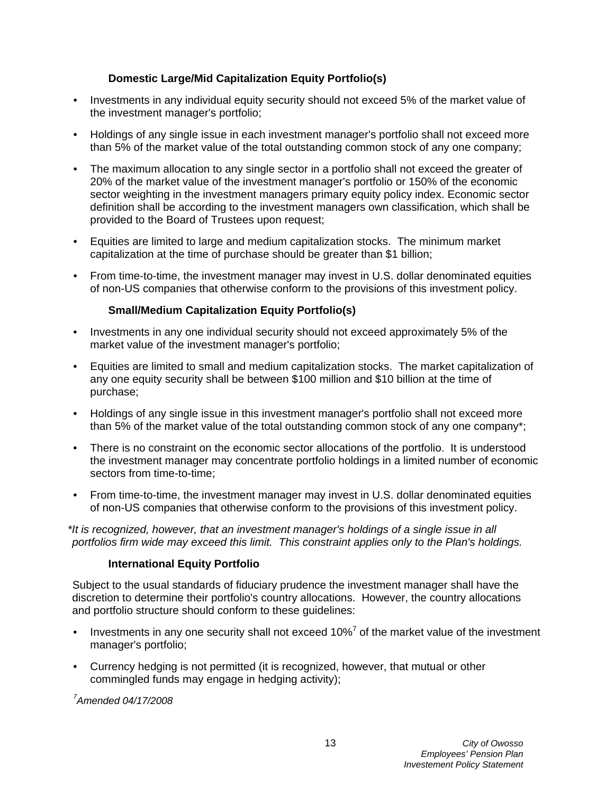## **Domestic Large/Mid Capitalization Equity Portfolio(s)**

- Investments in any individual equity security should not exceed 5% of the market value of the investment manager's portfolio;
- Holdings of any single issue in each investment manager's portfolio shall not exceed more than 5% of the market value of the total outstanding common stock of any one company;
- The maximum allocation to any single sector in a portfolio shall not exceed the greater of 20% of the market value of the investment manager's portfolio or 150% of the economic sector weighting in the investment managers primary equity policy index. Economic sector definition shall be according to the investment managers own classification, which shall be provided to the Board of Trustees upon request;
- Equities are limited to large and medium capitalization stocks. The minimum market capitalization at the time of purchase should be greater than \$1 billion;
- From time-to-time, the investment manager may invest in U.S. dollar denominated equities of non-US companies that otherwise conform to the provisions of this investment policy.

## **Small/Medium Capitalization Equity Portfolio(s)**

- Investments in any one individual security should not exceed approximately 5% of the market value of the investment manager's portfolio;
- Equities are limited to small and medium capitalization stocks. The market capitalization of any one equity security shall be between \$100 million and \$10 billion at the time of purchase;
- Holdings of any single issue in this investment manager's portfolio shall not exceed more than 5% of the market value of the total outstanding common stock of any one company\*;
- There is no constraint on the economic sector allocations of the portfolio. It is understood the investment manager may concentrate portfolio holdings in a limited number of economic sectors from time-to-time;
- From time-to-time, the investment manager may invest in U.S. dollar denominated equities of non-US companies that otherwise conform to the provisions of this investment policy.

*\*It is recognized, however, that an investment manager's holdings of a single issue in all portfolios firm wide may exceed this limit. This constraint applies only to the Plan's holdings.*

#### **International Equity Portfolio**

Subject to the usual standards of fiduciary prudence the investment manager shall have the discretion to determine their portfolio's country allocations. However, the country allocations and portfolio structure should conform to these guidelines:

- Investments in any one security shall not exceed 10%<sup>7</sup> of the market value of the investment manager's portfolio;
- Currency hedging is not permitted (it is recognized, however, that mutual or other commingled funds may engage in hedging activity);

*7 Amended 04/17/2008*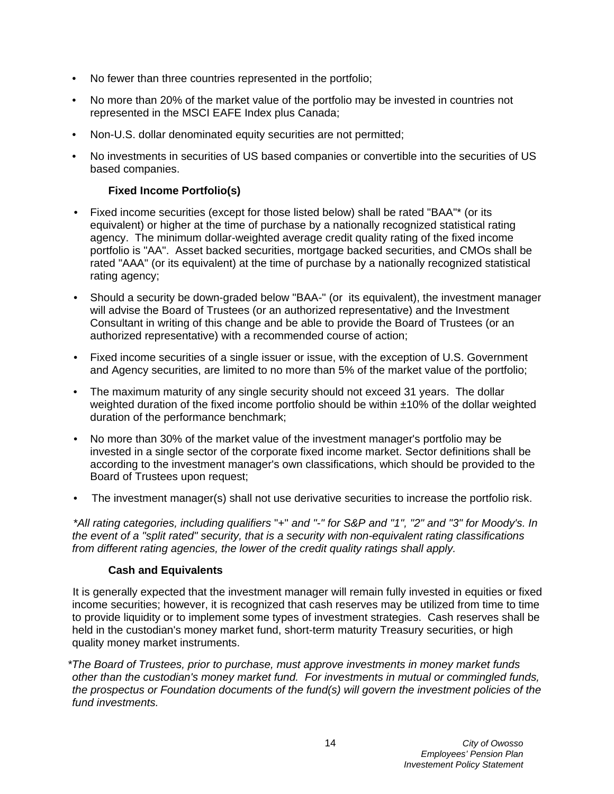- No fewer than three countries represented in the portfolio;
- No more than 20% of the market value of the portfolio may be invested in countries not represented in the MSCI EAFE Index plus Canada;
- Non-U.S. dollar denominated equity securities are not permitted:
- No investments in securities of US based companies or convertible into the securities of US based companies.

## **Fixed Income Portfolio(s)**

- Fixed income securities (except for those listed below) shall be rated "BAA"\* (or its equivalent) or higher at the time of purchase by a nationally recognized statistical rating agency. The minimum dollar-weighted average credit quality rating of the fixed income portfolio is "AA". Asset backed securities, mortgage backed securities, and CMOs shall be rated "AAA" (or its equivalent) at the time of purchase by a nationally recognized statistical rating agency;
- Should a security be down-graded below "BAA-" (or its equivalent), the investment manager will advise the Board of Trustees (or an authorized representative) and the Investment Consultant in writing of this change and be able to provide the Board of Trustees (or an authorized representative) with a recommended course of action;
- Fixed income securities of a single issuer or issue, with the exception of U.S. Government and Agency securities, are limited to no more than 5% of the market value of the portfolio;
- The maximum maturity of any single security should not exceed 31 years. The dollar weighted duration of the fixed income portfolio should be within  $\pm 10\%$  of the dollar weighted duration of the performance benchmark;
- No more than 30% of the market value of the investment manager's portfolio may be invested in a single sector of the corporate fixed income market. Sector definitions shall be according to the investment manager's own classifications, which should be provided to the Board of Trustees upon request;
- The investment manager(s) shall not use derivative securities to increase the portfolio risk.

*\*All rating categories, including qualifiers* "+" *and "-" for S&P and "1", "2" and "3" for Moody's. In the event of a "split rated" security, that is a security with non-equivalent rating classifications from different rating agencies, the lower of the credit quality ratings shall apply.*

#### **Cash and Equivalents**

It is generally expected that the investment manager will remain fully invested in equities or fixed income securities; however, it is recognized that cash reserves may be utilized from time to time to provide liquidity or to implement some types of investment strategies. Cash reserves shall be held in the custodian's money market fund, short-term maturity Treasury securities, or high quality money market instruments.

*\*The Board of Trustees, prior to purchase, must approve investments in money market funds other than the custodian's money market fund. For investments in mutual or commingled funds, the prospectus or Foundation documents of the fund(s) will govern the investment policies of the fund investments.*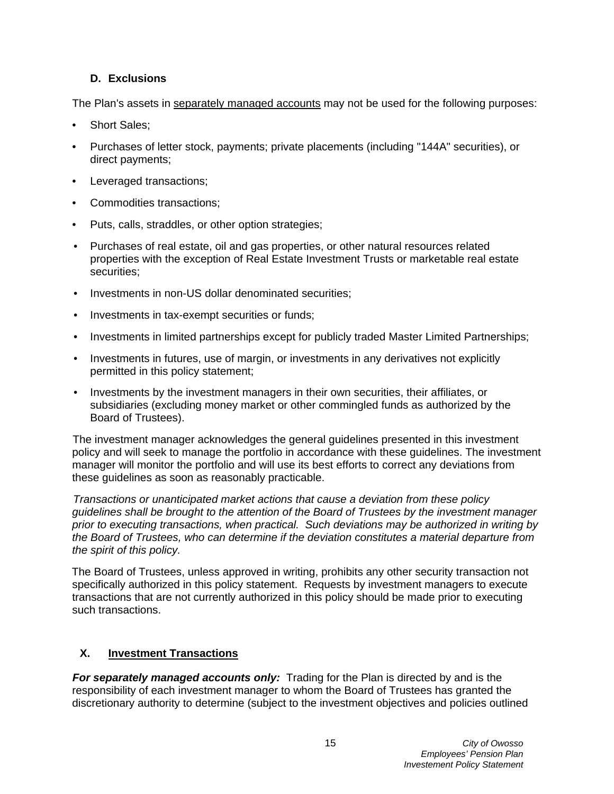## **D. Exclusions**

The Plan's assets in separately managed accounts may not be used for the following purposes:

- Short Sales:
- Purchases of letter stock, payments; private placements (including "144A" securities), or direct payments;
- Leveraged transactions;
- Commodities transactions;
- Puts, calls, straddles, or other option strategies;
- Purchases of real estate, oil and gas properties, or other natural resources related properties with the exception of Real Estate Investment Trusts or marketable real estate securities;
- Investments in non-US dollar denominated securities;
- Investments in tax-exempt securities or funds;
- Investments in limited partnerships except for publicly traded Master Limited Partnerships;
- Investments in futures, use of margin, or investments in any derivatives not explicitly permitted in this policy statement;
- Investments by the investment managers in their own securities, their affiliates, or subsidiaries (excluding money market or other commingled funds as authorized by the Board of Trustees).

The investment manager acknowledges the general guidelines presented in this investment policy and will seek to manage the portfolio in accordance with these guidelines. The investment manager will monitor the portfolio and will use its best efforts to correct any deviations from these guidelines as soon as reasonably practicable.

*Transactions or unanticipated market actions that cause a deviation from these policy guidelines shall be brought to the attention of the Board of Trustees by the investment manager prior to executing transactions, when practical. Such deviations may be authorized in writing by the Board of Trustees, who can determine if the deviation constitutes a material departure from the spirit of this policy.*

The Board of Trustees, unless approved in writing, prohibits any other security transaction not specifically authorized in this policy statement. Requests by investment managers to execute transactions that are not currently authorized in this policy should be made prior to executing such transactions.

## **X. Investment Transactions**

For separately managed accounts only: Trading for the Plan is directed by and is the responsibility of each investment manager to whom the Board of Trustees has granted the discretionary authority to determine (subject to the investment objectives and policies outlined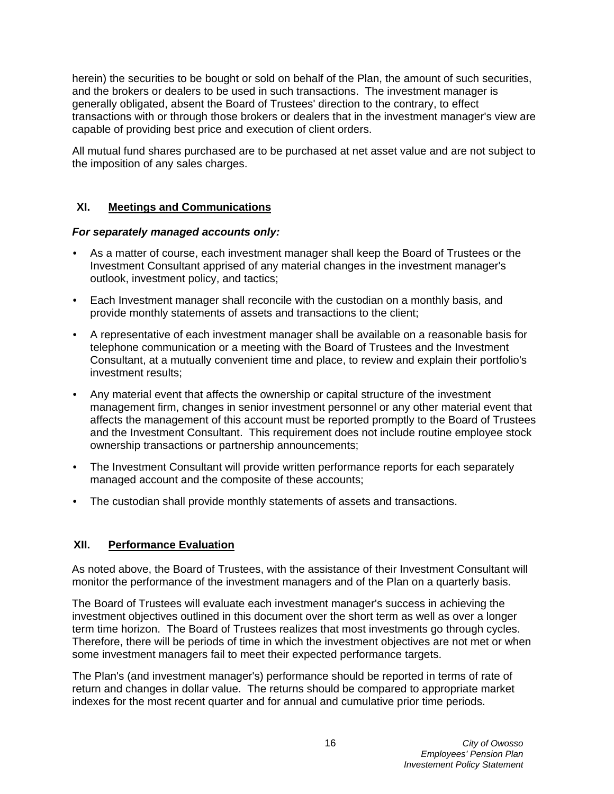herein) the securities to be bought or sold on behalf of the Plan, the amount of such securities, and the brokers or dealers to be used in such transactions. The investment manager is generally obligated, absent the Board of Trustees' direction to the contrary, to effect transactions with or through those brokers or dealers that in the investment manager's view are capable of providing best price and execution of client orders.

All mutual fund shares purchased are to be purchased at net asset value and are not subject to the imposition of any sales charges.

## **XI. Meetings and Communications**

#### *For separately managed accounts only:*

- As a matter of course, each investment manager shall keep the Board of Trustees or the Investment Consultant apprised of any material changes in the investment manager's outlook, investment policy, and tactics;
- Each Investment manager shall reconcile with the custodian on a monthly basis, and provide monthly statements of assets and transactions to the client;
- A representative of each investment manager shall be available on a reasonable basis for telephone communication or a meeting with the Board of Trustees and the Investment Consultant, at a mutually convenient time and place, to review and explain their portfolio's investment results;
- Any material event that affects the ownership or capital structure of the investment management firm, changes in senior investment personnel or any other material event that affects the management of this account must be reported promptly to the Board of Trustees and the Investment Consultant. This requirement does not include routine employee stock ownership transactions or partnership announcements;
- The Investment Consultant will provide written performance reports for each separately managed account and the composite of these accounts;
- The custodian shall provide monthly statements of assets and transactions.

#### **XII. Performance Evaluation**

As noted above, the Board of Trustees, with the assistance of their Investment Consultant will monitor the performance of the investment managers and of the Plan on a quarterly basis.

The Board of Trustees will evaluate each investment manager's success in achieving the investment objectives outlined in this document over the short term as well as over a longer term time horizon. The Board of Trustees realizes that most investments go through cycles. Therefore, there will be periods of time in which the investment objectives are not met or when some investment managers fail to meet their expected performance targets.

The Plan's (and investment manager's) performance should be reported in terms of rate of return and changes in dollar value. The returns should be compared to appropriate market indexes for the most recent quarter and for annual and cumulative prior time periods.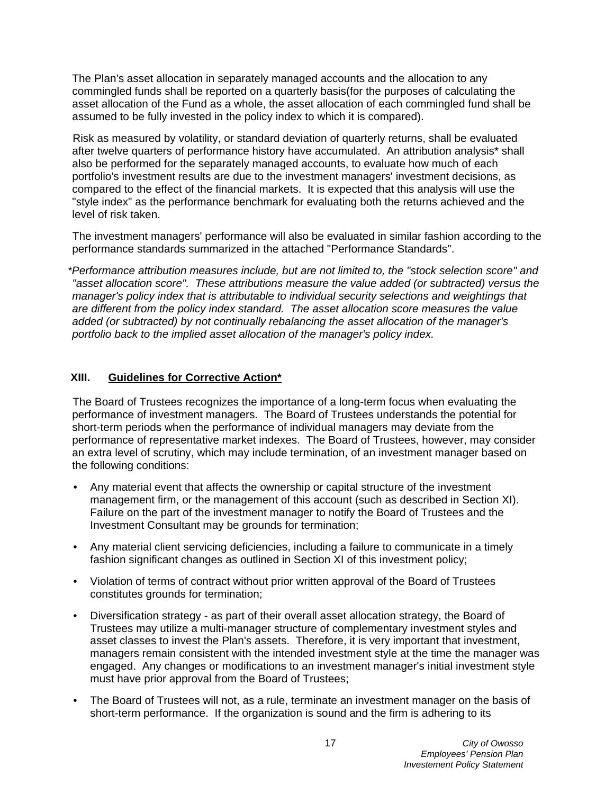The Plan's asset allocation in separately managed accounts and the allocation to any commingled funds shall be reported on a quarterly basis(for the purposes of calculating the asset allocation of the Fund as a whole, the asset allocation of each commingled fund shall be assumed to be fully invested in the policy index to which it is compared).

Risk as measured by volatility, or standard deviation of quarterly returns, shall be evaluated after twelve quarters of performance history have accumulated. An attribution analysis\* shall also be performed for the separately managed accounts, to evaluate how much of each portfolio's investment results are due to the investment managers' investment decisions, as compared to the effect of the financial markets. It is expected that this analysis will use the "style index" as the performance benchmark for evaluating both the returns achieved and the level of risk taken.

The investment managers' performance will also be evaluated in similar fashion according to the performance standards summarized in the attached "Performance Standards".

*\*Performance attribution measures include, but are not limited to, the "stock selection score" and "asset allocation score". These attributions measure the value added (or subtracted) versus the manager's policy index that is attributable to individual security selections and weightings that are different from the policy index standard. The asset allocation score measures the value added (or subtracted) by not continually rebalancing the asset allocation of the manager's portfolio back to the implied asset allocation of the manager's policy index.*

#### **XIII. Guidelines for Corrective Action\***

The Board of Trustees recognizes the importance of a long-term focus when evaluating the performance of investment managers. The Board of Trustees understands the potential for short-term periods when the performance of individual managers may deviate from the performance of representative market indexes. The Board of Trustees, however, may consider an extra level of scrutiny, which may include termination, of an investment manager based on the following conditions:

- Any material event that affects the ownership or capital structure of the investment management firm, or the management of this account (such as described in Section XI). Failure on the part of the investment manager to notify the Board of Trustees and the Investment Consultant may be grounds for termination;
- Any material client servicing deficiencies, including a failure to communicate in a timely fashion significant changes as outlined in Section XI of this investment policy;
- Violation of terms of contract without prior written approval of the Board of Trustees constitutes grounds for termination;
- Diversification strategy as part of their overall asset allocation strategy, the Board of Trustees may utilize a multi-manager structure of complementary investment styles and asset classes to invest the Plan's assets. Therefore, it is very important that investment, managers remain consistent with the intended investment style at the time the manager was engaged. Any changes or modifications to an investment manager's initial investment style must have prior approval from the Board of Trustees;
- The Board of Trustees will not, as a rule, terminate an investment manager on the basis of short-term performance. If the organization is sound and the firm is adhering to its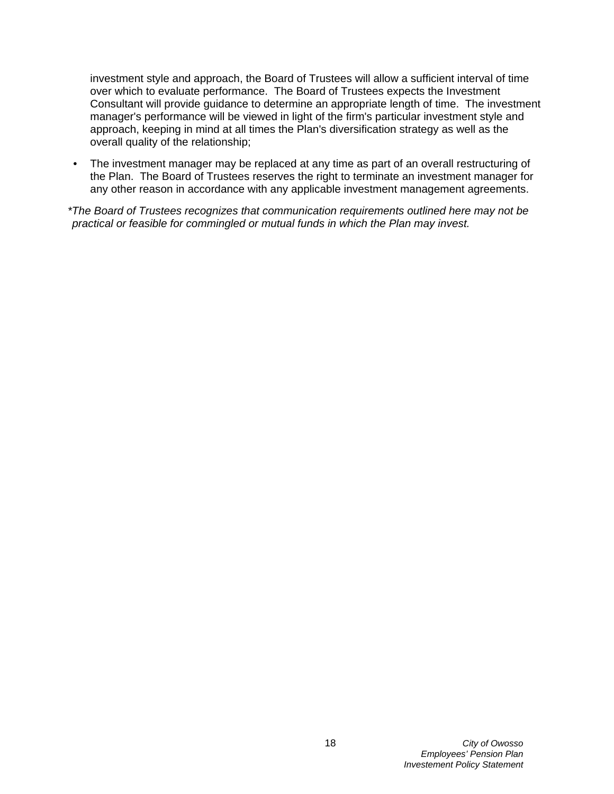investment style and approach, the Board of Trustees will allow a sufficient interval of time over which to evaluate performance. The Board of Trustees expects the Investment Consultant will provide guidance to determine an appropriate length of time. The investment manager's performance will be viewed in light of the firm's particular investment style and approach, keeping in mind at all times the Plan's diversification strategy as well as the overall quality of the relationship;

• The investment manager may be replaced at any time as part of an overall restructuring of the Plan. The Board of Trustees reserves the right to terminate an investment manager for any other reason in accordance with any applicable investment management agreements.

*\*The Board of Trustees recognizes that communication requirements outlined here may not be practical or feasible for commingled or mutual funds in which the Plan may invest.*